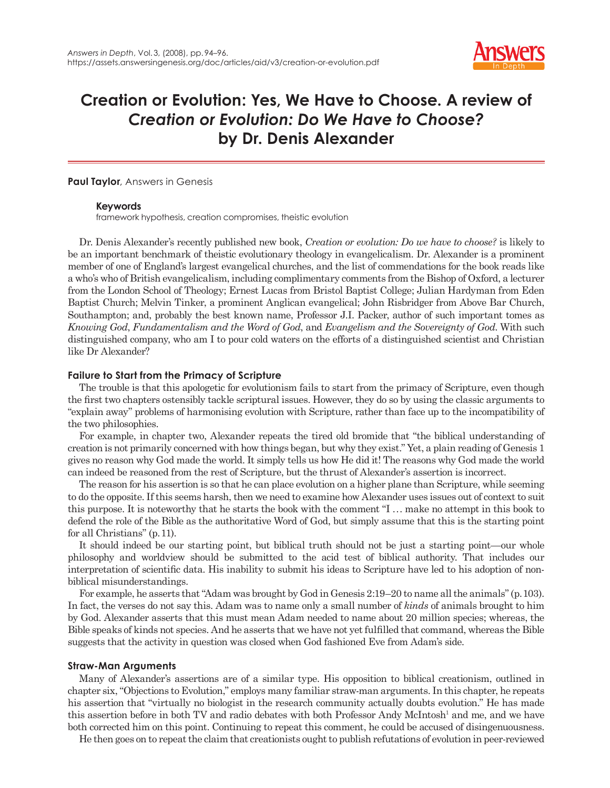

# **Creation or Evolution: Yes, We Have to Choose. A review of**  *Creation or Evolution: Do We Have to Choose?*  **by Dr. Denis Alexander**

## **Paul Taylor**, Answers in Genesis

## **Keywords**

framework hypothesis, creation compromises, theistic evolution

Dr. Denis Alexander's recently published new book, *Creation or evolution: Do we have to choose?* is likely to be an important benchmark of theistic evolutionary theology in evangelicalism. Dr. Alexander is a prominent member of one of England's largest evangelical churches, and the list of commendations for the book reads like a who's who of British evangelicalism, including complimentary comments from the Bishop of Oxford, a lecturer from the London School of Theology; Ernest Lucas from Bristol Baptist College; Julian Hardyman from Eden Baptist Church; Melvin Tinker, a prominent Anglican evangelical; John Risbridger from Above Bar Church, Southampton; and, probably the best known name, Professor J.I. Packer, author of such important tomes as *Knowing God*, *Fundamentalism and the Word of God*, and *Evangelism and the Sovereignty of God*. With such distinguished company, who am I to pour cold waters on the efforts of a distinguished scientist and Christian like Dr Alexander?

## **Failure to Start from the Primacy of Scripture**

The trouble is that this apologetic for evolutionism fails to start from the primacy of Scripture, even though the first two chapters ostensibly tackle scriptural issues. However, they do so by using the classic arguments to "explain away" problems of harmonising evolution with Scripture, rather than face up to the incompatibility of the two philosophies.

For example, in chapter two, Alexander repeats the tired old bromide that "the biblical understanding of creation is not primarily concerned with how things began, but why they exist." Yet, a plain reading of Genesis 1 gives no reason why God made the world. It simply tells us how He did it! The reasons why God made the world can indeed be reasoned from the rest of Scripture, but the thrust of Alexander's assertion is incorrect.

The reason for his assertion is so that he can place evolution on a higher plane than Scripture, while seeming to do the opposite. If this seems harsh, then we need to examine how Alexander uses issues out of context to suit this purpose. It is noteworthy that he starts the book with the comment "I . . . make no attempt in this book to defend the role of the Bible as the authoritative Word of God, but simply assume that this is the starting point for all Christians" (p. 11).

It should indeed be our starting point, but biblical truth should not be just a starting point—our whole philosophy and worldview should be submitted to the acid test of biblical authority. That includes our interpretation of scientific data. His inability to submit his ideas to Scripture have led to his adoption of nonbiblical misunderstandings.

For example, he asserts that "Adam was brought by God in Genesis 2:19–20 to name all the animals" (p. 103). In fact, the verses do not say this. Adam was to name only a small number of *kinds* of animals brought to him by God. Alexander asserts that this must mean Adam needed to name about 20 million species; whereas, the Bible speaks of kinds not species. And he asserts that we have not yet fulfilled that command, whereas the Bible suggests that the activity in question was closed when God fashioned Eve from Adam's side.

# **Straw-Man Arguments**

Many of Alexander's assertions are of a similar type. His opposition to biblical creationism, outlined in chapter six, "Objections to Evolution," employs many familiar straw-man arguments. In this chapter, he repeats his assertion that "virtually no biologist in the research community actually doubts evolution." He has made this assertion before in both TV and radio debates with both Professor Andy McIntosh<sup>1</sup> and me, and we have both corrected him on this point. Continuing to repeat this comment, he could be accused of disingenuousness.

He then goes on to repeat the claim that creationists ought to publish refutations of evolution in peer-reviewed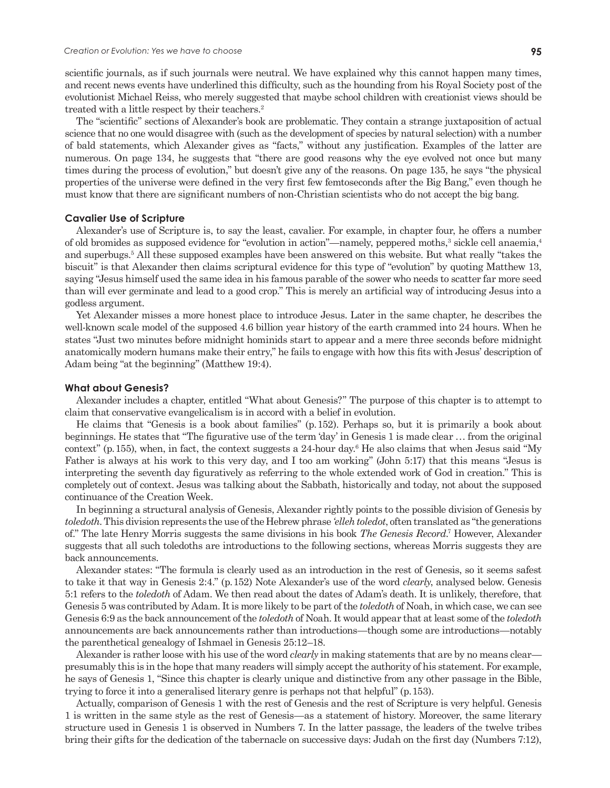scientific journals, as if such journals were neutral. We have explained why this cannot happen many times, and recent news events have underlined this difficulty, such as the hounding from his Royal Society post of the evolutionist Michael Reiss, who merely suggested that maybe school children with creationist views should be treated with a little respect by their teachers.<sup>2</sup>

The "scientific" sections of Alexander's book are problematic. They contain a strange juxtaposition of actual science that no one would disagree with (such as the development of species by natural selection) with a number of bald statements, which Alexander gives as "facts," without any justification. Examples of the latter are numerous. On page 134, he suggests that "there are good reasons why the eye evolved not once but many times during the process of evolution," but doesn't give any of the reasons. On page 135, he says "the physical properties of the universe were defined in the very first few femtoseconds after the Big Bang," even though he must know that there are significant numbers of non-Christian scientists who do not accept the big bang.

## **Cavalier Use of Scripture**

Alexander's use of Scripture is, to say the least, cavalier. For example, in chapter four, he offers a number of old bromides as supposed evidence for "evolution in action"—namely, peppered moths,<sup>3</sup> sickle cell anaemia,<sup>4</sup> and superbugs.<sup>5</sup> All these supposed examples have been answered on this website. But what really "takes the biscuit" is that Alexander then claims scriptural evidence for this type of "evolution" by quoting Matthew 13, saying "Jesus himself used the same idea in his famous parable of the sower who needs to scatter far more seed than will ever germinate and lead to a good crop." This is merely an artificial way of introducing Jesus into a godless argument.

Yet Alexander misses a more honest place to introduce Jesus. Later in the same chapter, he describes the well-known scale model of the supposed 4.6 billion year history of the earth crammed into 24 hours. When he states "Just two minutes before midnight hominids start to appear and a mere three seconds before midnight anatomically modern humans make their entry," he fails to engage with how this fits with Jesus' description of Adam being "at the beginning" (Matthew 19:4).

#### **What about Genesis?**

Alexander includes a chapter, entitled "What about Genesis?" The purpose of this chapter is to attempt to claim that conservative evangelicalism is in accord with a belief in evolution.

He claims that "Genesis is a book about families" (p. 152). Perhaps so, but it is primarily a book about beginnings. He states that "The figurative use of the term 'day' in Genesis 1 is made clear . . . from the original context" (p. 155), when, in fact, the context suggests a 24-hour day.<sup>6</sup> He also claims that when Jesus said "My Father is always at his work to this very day, and I too am working" (John 5:17) that this means "Jesus is interpreting the seventh day figuratively as referring to the whole extended work of God in creation." This is completely out of context. Jesus was talking about the Sabbath, historically and today, not about the supposed continuance of the Creation Week.

In beginning a structural analysis of Genesis, Alexander rightly points to the possible division of Genesis by *toledoth*. This division represents the use of the Hebrew phrase *'elleh toledot*, often translated as "the generations of." The late Henry Morris suggests the same divisions in his book *The Genesis Record*.<sup>7</sup> However, Alexander suggests that all such toledoths are introductions to the following sections, whereas Morris suggests they are back announcements.

Alexander states: "The formula is clearly used as an introduction in the rest of Genesis, so it seems safest to take it that way in Genesis 2:4." (p. 152) Note Alexander's use of the word *clearly*, analysed below. Genesis 5:1 refers to the *toledoth* of Adam. We then read about the dates of Adam's death. It is unlikely, therefore, that Genesis 5 was contributed by Adam. It is more likely to be part of the *toledoth* of Noah, in which case, we can see Genesis 6:9 as the back announcement of the *toledoth* of Noah. It would appear that at least some of the *toledoth* announcements are back announcements rather than introductions—though some are introductions—notably the parenthetical genealogy of Ishmael in Genesis 25:12–18.

Alexander is rather loose with his use of the word *clearly* in making statements that are by no means clear presumably this is in the hope that many readers will simply accept the authority of his statement. For example, he says of Genesis 1, "Since this chapter is clearly unique and distinctive from any other passage in the Bible, trying to force it into a generalised literary genre is perhaps not that helpful" (p. 153).

Actually, comparison of Genesis 1 with the rest of Genesis and the rest of Scripture is very helpful. Genesis 1 is written in the same style as the rest of Genesis—as a statement of history. Moreover, the same literary structure used in Genesis 1 is observed in Numbers 7. In the latter passage, the leaders of the twelve tribes bring their gifts for the dedication of the tabernacle on successive days: Judah on the first day (Numbers 7:12),